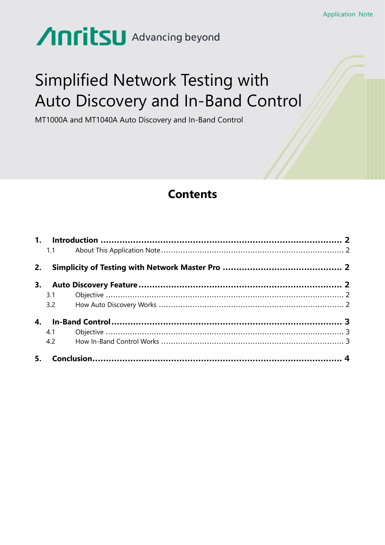# Anritsu Advancing beyond

## **Simplified Network Testing with** Auto Discovery and In-Band Control

MT1000A and MT1040A Auto Discovery and In-Band Control

## **Contents**

|  | 4.1 |  |  |
|--|-----|--|--|
|  | 4.2 |  |  |
|  |     |  |  |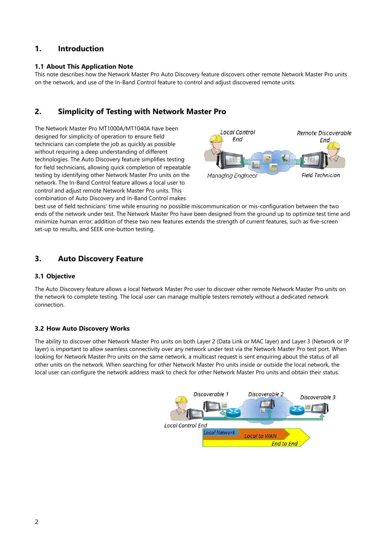## <span id="page-1-0"></span>**1. Introduction**

## <span id="page-1-1"></span>**1.1 About This Application Note**

This note describes how the Network Master Pro Auto Discovery feature discovers other remote Network Master Pro units on the network, and use of the In-Band Control feature to control and adjust discovered remote units.

## <span id="page-1-2"></span>**2. Simplicity of Testing with Network Master Pro**

The Network Master Pro MT1000A/MT1040A have been designed for simplicity of operation to ensure field technicians can complete the job as quickly as possible without requiring a deep understanding of different technologies. The Auto Discovery feature simplifies testing for field technicians, allowing quick completion of repeatable testing by identifying other Network Master Pro units on the network. The In-Band Control feature allows a local user to control and adjust remote Network Master Pro units. This combination of Auto Discovery and In-Band Control makes



best use of field technicians' time while ensuring no possible miscommunication or mis-configuration between the two ends of the network under test. The Network Master Pro have been designed from the ground up to optimize test time and minimize human error; addition of these two new features extends the strength of current features, such as five-screen set-up to results, and SEEK one-button testing.

## <span id="page-1-3"></span>**3. Auto Discovery Feature**

## <span id="page-1-4"></span>**3.1 Objective**

The Auto Discovery feature allows a local Network Master Pro user to discover other remote Network Master Pro units on the network to complete testing. The local user can manage multiple testers remotely without a dedicated network connection.

## <span id="page-1-5"></span>**3.2 How Auto Discovery Works**

The ability to discover other Network Master Pro units on both Layer 2 (Data Link or MAC layer) and Layer 3 (Network or IP layer) is important to allow seamless connectivity over any network under test via the Network Master Pro test port. When looking for Network Master Pro units on the same network, a multicast request is sent enquiring about the status of all other units on the network. When searching for other Network Master Pro units inside or outside the local network, the local user can configure the network address mask to check for other Network Master Pro units and obtain their status.

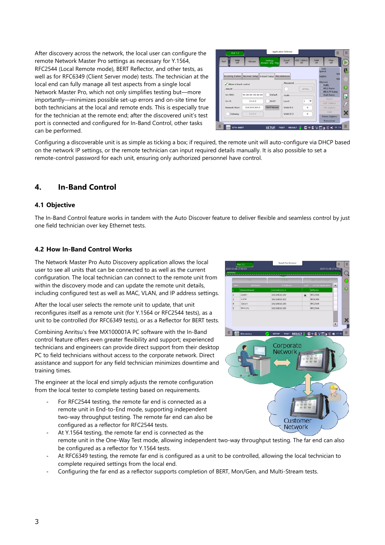After discovery across the network, the local user can configure the remote Network Master Pro settings as necessary for Y.1564, RFC2544 (Local Remote mode), BERT Reflector, and other tests, as well as for RFC6349 (Client Server mode) tests. The technician at the local end can fully manage all test aspects from a single local Network Master Pro, which not only simplifies testing but—more importantly—minimizes possible set-up errors and on-site time for both technicians at the local and remote ends. This is especially true for the technician at the remote end; after the discovered unit's test port is connected and configured for In-Band Control, other tasks can be performed.



Configuring a discoverable unit is as simple as ticking a box; if required, the remote unit will auto-configure via DHCP based on the network IP settings, or the remote technician can input required details manually. It is also possible to set a remote-control password for each unit, ensuring only authorized personnel have control.

## <span id="page-2-0"></span>**4. In-Band Control**

## <span id="page-2-1"></span>**4.1 Objective**

The In-Band Control feature works in tandem with the Auto Discover feature to deliver flexible and seamless control by just one field technician over key Ethernet tests.

## <span id="page-2-2"></span>**4.2 How In-Band Control Works**

The Network Master Pro Auto Discovery application allows the local user to see all units that can be connected to as well as the current configuration. The local technician can connect to the remote unit from within the discovery mode and can update the remote unit details, including configured test as well as MAC, VLAN, and IP address settings.

After the local user selects the remote unit to update, that unit reconfigures itself as a remote unit (for Y.1564 or RFC2544 tests), as a unit to be controlled (for RFC6349 tests), or as a Reflector for BERT tests.

Combining Anritsu's free MX100001A PC software with the In-Band control feature offers even greater flexibility and support; experienced technicians and engineers can provide direct support from their desktop PC to field technicians without access to the corporate network. Direct assistance and support for any field technician minimizes downtime and training times.

The engineer at the local end simply adjusts the remote configuration from the local tester to complete testing based on requirements.

- For RFC2544 testing, the remote far end is connected as a remote unit in End-to-End mode, supporting independent two-way throughput testing. The remote far end can also be configured as a reflector for RFC2544 tests.
- 92.168.10.10 19216810103  $rac{1}{2}$ 192.168.10.1 RFC2544 Marc  $021001010$ RECORAL TEST RESULT C C + B V 区 g 显 m 1 Corporate Network Customer **Network**
- At Y.1564 testing, the remote far end is connected as the remote unit in the One-Way Test mode, allowing independent two-way throughput testing. The far end can also be configured as a reflector for Y.1564 tests.
- At RFC6349 testing, the remote far end is configured as a unit to be controlled, allowing the local technician to complete required settings from the local end.
- Configuring the far end as a reflector supports completion of BERT, Mon/Gen, and Multi-Stream tests.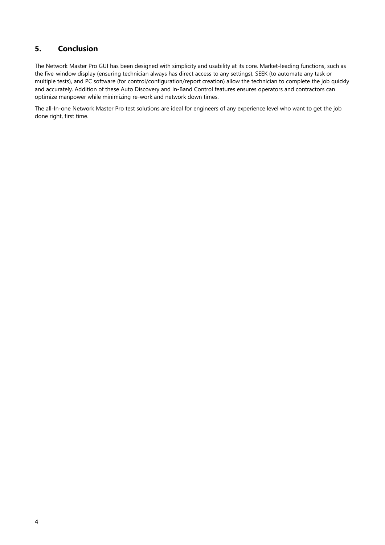## <span id="page-3-0"></span>**5. Conclusion**

The Network Master Pro GUI has been designed with simplicity and usability at its core. Market-leading functions, such as the five-window display (ensuring technician always has direct access to any settings), SEEK (to automate any task or multiple tests), and PC software (for control/configuration/report creation) allow the technician to complete the job quickly and accurately. Addition of these Auto Discovery and In-Band Control features ensures operators and contractors can optimize manpower while minimizing re-work and network down times.

The all-In-one Network Master Pro test solutions are ideal for engineers of any experience level who want to get the job done right, first time.